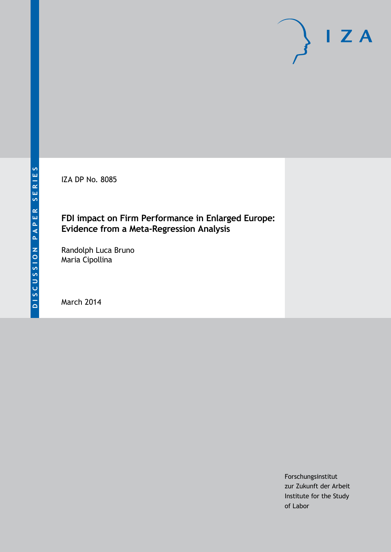IZA DP No. 8085

# **FDI impact on Firm Performance in Enlarged Europe: Evidence from a Meta-Regression Analysis**

Randolph Luca Bruno Maria Cipollina

March 2014

Forschungsinstitut zur Zukunft der Arbeit Institute for the Study of Labor

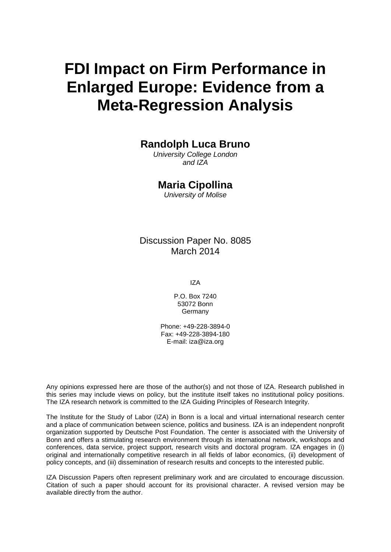# **FDI Impact on Firm Performance in Enlarged Europe: Evidence from a Meta-Regression Analysis**

# **Randolph Luca Bruno**

*University College London and IZA*

### **Maria Cipollina**

*University of Molise*

Discussion Paper No. 8085 March 2014

IZA

P.O. Box 7240 53072 Bonn Germany

Phone: +49-228-3894-0 Fax: +49-228-3894-180 E-mail: [iza@iza.org](mailto:iza@iza.org)

Any opinions expressed here are those of the author(s) and not those of IZA. Research published in this series may include views on policy, but the institute itself takes no institutional policy positions. The IZA research network is committed to the IZA Guiding Principles of Research Integrity.

The Institute for the Study of Labor (IZA) in Bonn is a local and virtual international research center and a place of communication between science, politics and business. IZA is an independent nonprofit organization supported by Deutsche Post Foundation. The center is associated with the University of Bonn and offers a stimulating research environment through its international network, workshops and conferences, data service, project support, research visits and doctoral program. IZA engages in (i) original and internationally competitive research in all fields of labor economics, (ii) development of policy concepts, and (iii) dissemination of research results and concepts to the interested public.

<span id="page-1-0"></span>IZA Discussion Papers often represent preliminary work and are circulated to encourage discussion. Citation of such a paper should account for its provisional character. A revised version may be available directly from the author.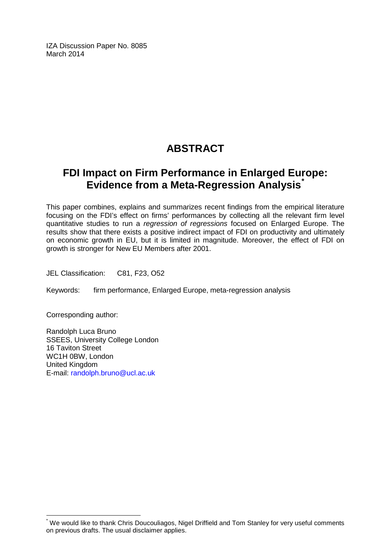IZA Discussion Paper No. 8085 March 2014

# **ABSTRACT**

# **FDI Impact on Firm Performance in Enlarged Europe: Evidence from a Meta-Regression Analysis[\\*](#page-1-0)**

This paper combines, explains and summarizes recent findings from the empirical literature focusing on the FDI's effect on firms' performances by collecting all the relevant firm level quantitative studies to run a *regression of regressions* focused on Enlarged Europe. The results show that there exists a positive indirect impact of FDI on productivity and ultimately on economic growth in EU, but it is limited in magnitude. Moreover, the effect of FDI on growth is stronger for New EU Members after 2001.

JEL Classification: C81, F23, O52

Keywords: firm performance, Enlarged Europe, meta-regression analysis

Corresponding author:

Randolph Luca Bruno SSEES, University College London 16 Taviton Street WC1H 0BW, London United Kingdom E-mail: [randolph.bruno@ucl.ac.uk](mailto:randolph.bruno@ucl.ac.uk)

We would like to thank Chris Doucouliagos, Nigel Driffield and Tom Stanley for very useful comments on previous drafts. The usual disclaimer applies.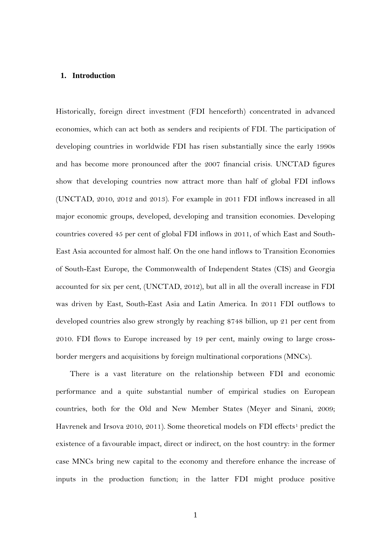#### **1. Introduction**

Historically, foreign direct investment (FDI henceforth) concentrated in advanced economies, which can act both as senders and recipients of FDI. The participation of developing countries in worldwide FDI has risen substantially since the early 1990s and has become more pronounced after the 2007 financial crisis. UNCTAD figures show that developing countries now attract more than half of global FDI inflows (UNCTAD, 2010, 2012 and 2013). For example in 2011 FDI inflows increased in all major economic groups, developed, developing and transition economies. Developing countries covered 45 per cent of global FDI inflows in 2011, of which East and South-East Asia accounted for almost half. On the one hand inflows to Transition Economies of South-East Europe, the Commonwealth of Independent States (CIS) and Georgia accounted for six per cent, (UNCTAD, 2012), but all in all the overall increase in FDI was driven by East, South-East Asia and Latin America. In 2011 FDI outflows to developed countries also grew strongly by reaching \$748 billion, up 21 per cent from 2010. FDI flows to Europe increased by 19 per cent, mainly owing to large crossborder mergers and acquisitions by foreign multinational corporations (MNCs).

There is a vast literature on the relationship between FDI and economic performance and a quite substantial number of empirical studies on European countries, both for the Old and New Member States (Meyer and Sinani, 2009; Havrenek and Irsova 20[1](#page-29-0)0, 2011). Some theoretical models on FDI effects<sup>1</sup> predict the existence of a favourable impact, direct or indirect, on the host country: in the former case MNCs bring new capital to the economy and therefore enhance the increase of inputs in the production function; in the latter FDI might produce positive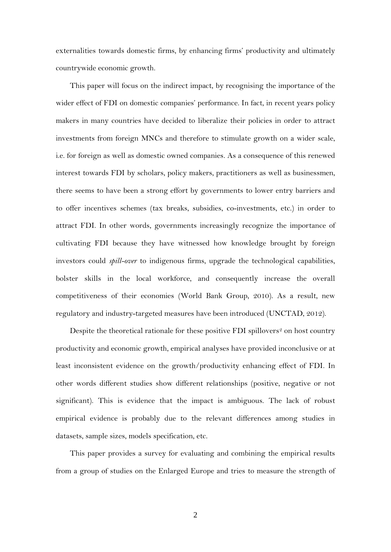externalities towards domestic firms, by enhancing firms' productivity and ultimately countrywide economic growth.

This paper will focus on the indirect impact, by recognising the importance of the wider effect of FDI on domestic companies' performance. In fact, in recent years policy makers in many countries have decided to liberalize their policies in order to attract investments from foreign MNCs and therefore to stimulate growth on a wider scale, i.e. for foreign as well as domestic owned companies. As a consequence of this renewed interest towards FDI by scholars, policy makers, practitioners as well as businessmen, there seems to have been a strong effort by governments to lower entry barriers and to offer incentives schemes (tax breaks, subsidies, co-investments, etc.) in order to attract FDI. In other words, governments increasingly recognize the importance of cultivating FDI because they have witnessed how knowledge brought by foreign investors could *spill-over* to indigenous firms, upgrade the technological capabilities, bolster skills in the local workforce, and consequently increase the overall competitiveness of their economies (World Bank Group, 2010). As a result, new regulatory and industry-targeted measures have been introduced (UNCTAD, 2012).

Despite the theoretical rationale for these positive FDI spillovers<sup>[2](#page-29-1)</sup> on host country productivity and economic growth, empirical analyses have provided inconclusive or at least inconsistent evidence on the growth/productivity enhancing effect of FDI. In other words different studies show different relationships (positive, negative or not significant). This is evidence that the impact is ambiguous. The lack of robust empirical evidence is probably due to the relevant differences among studies in datasets, sample sizes, models specification, etc.

This paper provides a survey for evaluating and combining the empirical results from a group of studies on the Enlarged Europe and tries to measure the strength of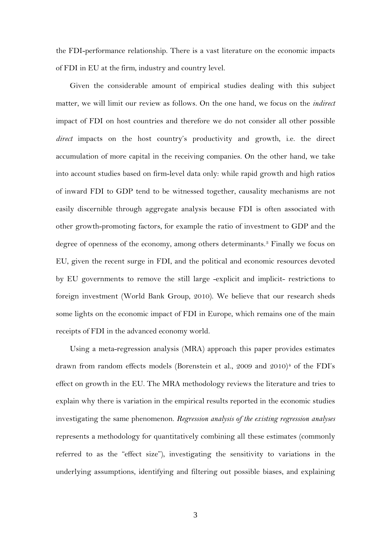the FDI-performance relationship. There is a vast literature on the economic impacts of FDI in EU at the firm, industry and country level.

Given the considerable amount of empirical studies dealing with this subject matter, we will limit our review as follows. On the one hand, we focus on the *indirect* impact of FDI on host countries and therefore we do not consider all other possible *direct* impacts on the host country's productivity and growth, i.e. the direct accumulation of more capital in the receiving companies. On the other hand, we take into account studies based on firm-level data only: while rapid growth and high ratios of inward FDI to GDP tend to be witnessed together, causality mechanisms are not easily discernible through aggregate analysis because FDI is often associated with other growth-promoting factors, for example the ratio of investment to GDP and the degree of openness of the economy, among others determinants.[3](#page-29-2) Finally we focus on EU, given the recent surge in FDI, and the political and economic resources devoted by EU governments to remove the still large -explicit and implicit- restrictions to foreign investment (World Bank Group, 2010). We believe that our research sheds some lights on the economic impact of FDI in Europe, which remains one of the main receipts of FDI in the advanced economy world.

Using a meta-regression analysis (MRA) approach this paper provides estimates drawn from random effects models (Borenstein et al., 2009 and 2010)<sup>[4](#page-29-3)</sup> of the FDI's effect on growth in the EU. The MRA methodology reviews the literature and tries to explain why there is variation in the empirical results reported in the economic studies investigating the same phenomenon. *Regression analysis of the existing regression analyses* represents a methodology for quantitatively combining all these estimates (commonly referred to as the "effect size"), investigating the sensitivity to variations in the underlying assumptions, identifying and filtering out possible biases, and explaining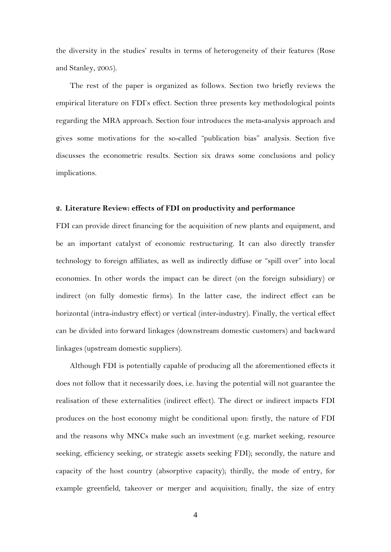the diversity in the studies' results in terms of heterogeneity of their features (Rose and Stanley, 2005).

The rest of the paper is organized as follows. Section two briefly reviews the empirical literature on FDI's effect. Section three presents key methodological points regarding the MRA approach. Section four introduces the meta-analysis approach and gives some motivations for the so-called "publication bias" analysis. Section five discusses the econometric results. Section six draws some conclusions and policy implications.

#### **2. Literature Review: effects of FDI on productivity and performance**

FDI can provide direct financing for the acquisition of new plants and equipment, and be an important catalyst of economic restructuring. It can also directly transfer technology to foreign affiliates, as well as indirectly diffuse or "spill over" into local economies. In other words the impact can be direct (on the foreign subsidiary) or indirect (on fully domestic firms). In the latter case, the indirect effect can be horizontal (intra-industry effect) or vertical (inter-industry). Finally, the vertical effect can be divided into forward linkages (downstream domestic customers) and backward linkages (upstream domestic suppliers).

Although FDI is potentially capable of producing all the aforementioned effects it does not follow that it necessarily does, i.e. having the potential will not guarantee the realisation of these externalities (indirect effect). The direct or indirect impacts FDI produces on the host economy might be conditional upon: firstly, the nature of FDI and the reasons why MNCs make such an investment (e.g. market seeking, resource seeking, efficiency seeking, or strategic assets seeking FDI); secondly, the nature and capacity of the host country (absorptive capacity); thirdly, the mode of entry, for example greenfield, takeover or merger and acquisition; finally, the size of entry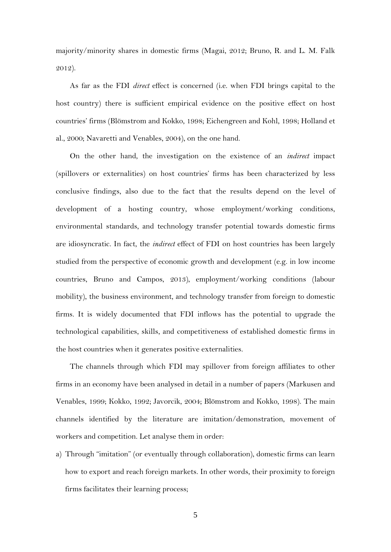majority/minority shares in domestic firms (Magai, 2012; Bruno, R. and L. M. Falk 2012).

As far as the FDI *direct* effect is concerned (i.e. when FDI brings capital to the host country) there is sufficient empirical evidence on the positive effect on host countries' firms (Blömstrom and Kokko, 1998; Eichengreen and Kohl, 1998; Holland et al., 2000; Navaretti and Venables, 2004), on the one hand.

On the other hand, the investigation on the existence of an *indirect* impact (spillovers or externalities) on host countries' firms has been characterized by less conclusive findings, also due to the fact that the results depend on the level of development of a hosting country, whose employment/working conditions, environmental standards, and technology transfer potential towards domestic firms are idiosyncratic. In fact, the *indirect* effect of FDI on host countries has been largely studied from the perspective of economic growth and development (e.g. in low income countries, Bruno and Campos, 2013), employment/working conditions (labour mobility), the business environment, and technology transfer from foreign to domestic firms. It is widely documented that FDI inflows has the potential to upgrade the technological capabilities, skills, and competitiveness of established domestic firms in the host countries when it generates positive externalities.

The channels through which FDI may spillover from foreign affiliates to other firms in an economy have been analysed in detail in a number of papers (Markusen and Venables, 1999; Kokko, 1992; Javorcik, 2004; Blömstrom and Kokko, 1998). The main channels identified by the literature are imitation/demonstration, movement of workers and competition. Let analyse them in order:

a) Through "imitation" (or eventually through collaboration), domestic firms can learn how to export and reach foreign markets. In other words, their proximity to foreign firms facilitates their learning process;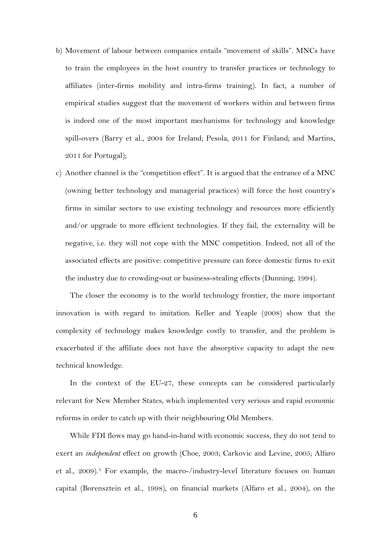- b) Movement of labour between companies entails "movement of skills". MNCs have to train the employees in the host country to transfer practices or technology to affiliates (inter-firms mobility and intra-firms training). In fact, a number of empirical studies suggest that the movement of workers within and between firms is indeed one of the most important mechanisms for technology and knowledge spill-overs (Barry et al., 2004 for Ireland; Pesola, 2011 for Finland; and Martins, 2011 for Portugal);
- c) Another channel is the "competition effect". It is argued that the entrance of a MNC (owning better technology and managerial practices) will force the host country's firms in similar sectors to use existing technology and resources more efficiently and/or upgrade to more efficient technologies. If they fail, the externality will be negative, i.e. they will not cope with the MNC competition. Indeed, not all of the associated effects are positive: competitive pressure can force domestic firms to exit the industry due to crowding-out or business-stealing effects (Dunning, 1994).

The closer the economy is to the world technology frontier, the more important innovation is with regard to imitation. Keller and Yeaple (2008) show that the complexity of technology makes knowledge costly to transfer, and the problem is exacerbated if the affiliate does not have the absorptive capacity to adapt the new technical knowledge.

In the context of the EU-27, these concepts can be considered particularly relevant for New Member States, which implemented very serious and rapid economic reforms in order to catch up with their neighbouring Old Members.

While FDI flows may go hand-in-hand with economic success, they do not tend to exert an *independent* effect on growth (Choe, 2003; Carkovic and Levine, 2005; Alfaro et al.,  $2009$ <sup>[5](#page-29-4)</sup>. For example, the macro-/industry-level literature focuses on human capital (Borensztein et al., 1998), on financial markets (Alfaro et al., 2004), on the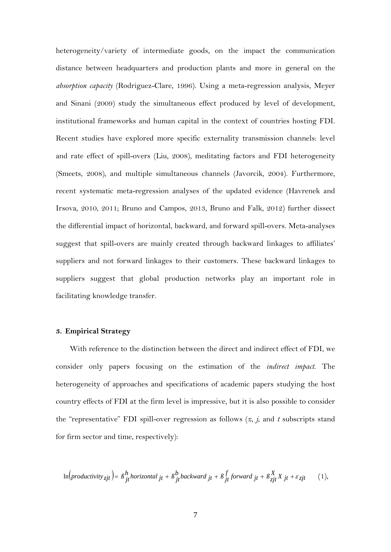heterogeneity/variety of intermediate goods, on the impact the communication distance between headquarters and production plants and more in general on the *absorption capacity* (Rodriguez-Clare, 1996). Using a meta-regression analysis, Meyer and Sinani (2009) study the simultaneous effect produced by level of development, institutional frameworks and human capital in the context of countries hosting FDI. Recent studies have explored more specific externality transmission channels: level and rate effect of spill-overs (Liu, 2008), meditating factors and FDI heterogeneity (Smeets, 2008), and multiple simultaneous channels (Javorcik, 2004). Furthermore, recent systematic meta-regression analyses of the updated evidence (Havrenek and Irsova, 2010, 2011; Bruno and Campos, 2013, Bruno and Falk, 2012) further dissect the differential impact of horizontal, backward, and forward spill-overs. Meta-analyses suggest that spill-overs are mainly created through backward linkages to affiliates' suppliers and not forward linkages to their customers. These backward linkages to suppliers suggest that global production networks play an important role in facilitating knowledge transfer.

#### **3. Empirical Strategy**

With reference to the distinction between the direct and indirect effect of FDI, we consider only papers focusing on the estimation of the *indirect impact*. The heterogeneity of approaches and specifications of academic papers studying the host country effects of FDI at the firm level is impressive, but it is also possible to consider the "representative" FDI spill-over regression as follows (*z*, *j*, and *t* subscripts stand for firm sector and time, respectively):

$$
\ln\left(producity_{zjt}\right) = \beta_{jt}^h \text{horizontal }_{jt} + \beta_{jt}^b \text{backward }_{jt} + \beta_{jt}^f \text{forward }_{jt} + \beta_{zjt}^X X_{jt} + \varepsilon_{zjt} \tag{1},
$$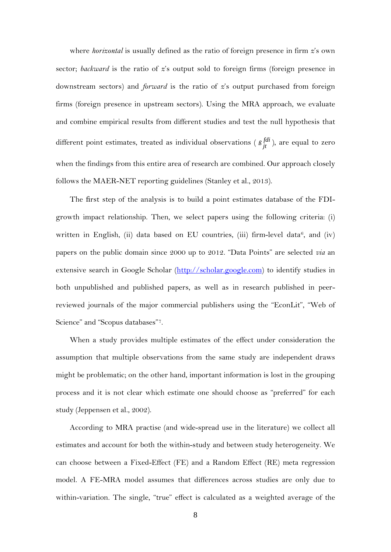where *horizontal* is usually defined as the ratio of foreign presence in firm *z*'s own sector; *backward* is the ratio of *z*'s output sold to foreign firms (foreign presence in downstream sectors) and *forward* is the ratio of *z*'s output purchased from foreign firms (foreign presence in upstream sectors). Using the MRA approach, we evaluate and combine empirical results from different studies and test the null hypothesis that different point estimates, treated as individual observations ( $\beta_{jt}^{fdi}$ ), are equal to zero when the findings from this entire area of research are combined. Our approach closely follows the MAER-NET reporting guidelines (Stanley et al., 2013).

The first step of the analysis is to build a point estimates database of the FDIgrowth impact relationship. Then, we select papers using the following criteria: (i) written in English, (ii) data based on EU countries, (iii) firm-level data<sup>[6](#page-29-5)</sup>, and (iv) papers on the public domain since 2000 up to 2012. "Data Points" are selected *via* an extensive search in Google Scholar [\(http://scholar.google.com\)](http://scholar.google.com/) to identify studies in both unpublished and published papers, as well as in research published in peerreviewed journals of the major commercial publishers using the "EconLit", "Web of Science" and "Scopus databases"[7.](#page-29-6)

When a study provides multiple estimates of the effect under consideration the assumption that multiple observations from the same study are independent draws might be problematic; on the other hand, important information is lost in the grouping process and it is not clear which estimate one should choose as "preferred" for each study (Jeppensen et al., 2002).

According to MRA practise (and wide-spread use in the literature) we collect all estimates and account for both the within-study and between study heterogeneity. We can choose between a Fixed-Effect (FE) and a Random Effect (RE) meta regression model. A FE-MRA model assumes that differences across studies are only due to within-variation. The single, "true" effect is calculated as a weighted average of the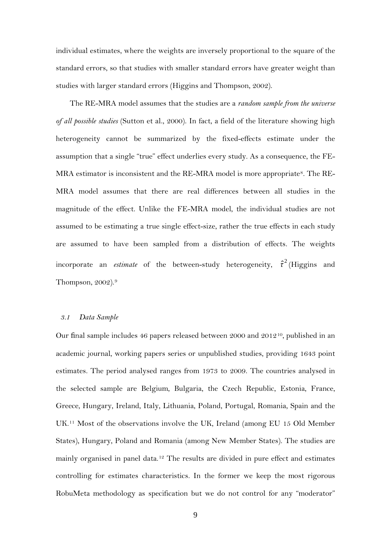individual estimates, where the weights are inversely proportional to the square of the standard errors, so that studies with smaller standard errors have greater weight than studies with larger standard errors (Higgins and Thompson, 2002).

The RE-MRA model assumes that the studies are a *random sample from the universe of all possible studies* (Sutton et al., 2000). In fact, a field of the literature showing high heterogeneity cannot be summarized by the fixed-effects estimate under the assumption that a single "true" effect underlies every study. As a consequence, the FE-MRA estimator is inconsistent and the RE-MRA model is more appropriate<sup>[8](#page-29-7)</sup>. The RE-MRA model assumes that there are real differences between all studies in the magnitude of the effect. Unlike the FE-MRA model, the individual studies are not assumed to be estimating a true single effect-size, rather the true effects in each study are assumed to have been sampled from a distribution of effects. The weights incorporate an *estimate* of the between-study heterogeneity,  $\hat{\tau}^2$  (Higgins and Thompson, 2002).[9](#page-29-8)

#### *3.1 Data Sample*

Our final sample includes 46 papers released between 2000 and 2012[10](#page-29-9), published in an academic journal, working papers series or unpublished studies, providing 1643 point estimates. The period analysed ranges from 1973 to 2009. The countries analysed in the selected sample are Belgium, Bulgaria, the Czech Republic, Estonia, France, Greece, Hungary, Ireland, Italy, Lithuania, Poland, Portugal, Romania, Spain and the UK.[11](#page-29-10) Most of the observations involve the UK, Ireland (among EU 15 Old Member States), Hungary, Poland and Romania (among New Member States). The studies are mainly organised in panel data.[12](#page-30-0) The results are divided in pure effect and estimates controlling for estimates characteristics. In the former we keep the most rigorous RobuMeta methodology as specification but we do not control for any "moderator"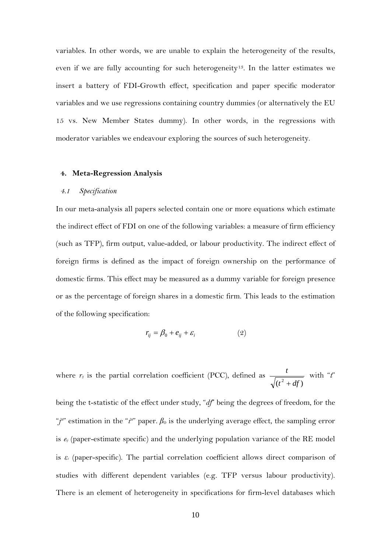variables. In other words, we are unable to explain the heterogeneity of the results, even if we are fully accounting for such heterogeneity<sup>13</sup>. In the latter estimates we insert a battery of FDI-Growth effect, specification and paper specific moderator variables and we use regressions containing country dummies (or alternatively the EU 15 vs. New Member States dummy). In other words, in the regressions with moderator variables we endeavour exploring the sources of such heterogeneity.

#### **4. Meta-Regression Analysis**

#### *4.1 Specification*

In our meta-analysis all papers selected contain one or more equations which estimate the indirect effect of FDI on one of the following variables: a measure of firm efficiency (such as TFP), firm output, value-added, or labour productivity. The indirect effect of foreign firms is defined as the impact of foreign ownership on the performance of domestic firms. This effect may be measured as a dummy variable for foreign presence or as the percentage of foreign shares in a domestic firm. This leads to the estimation of the following specification:

$$
r_{ij} = \beta_0 + e_{ij} + \varepsilon_i \tag{2}
$$

where  $r_{ij}$  is the partial correlation coefficient (PCC), defined as  $(t^2 + df)$ *t* + with "*t*"

being the t-statistic of the effect under study, "*df*" being the degrees of freedom, for the "*j*"" estimation in the "*i*"" paper.  $\beta_0$  is the underlying average effect, the sampling error is *eij* (paper-estimate specific) and the underlying population variance of the RE model is *ε<sup>i</sup>* (paper-specific). The partial correlation coefficient allows direct comparison of studies with different dependent variables (e.g. TFP versus labour productivity). There is an element of heterogeneity in specifications for firm-level databases which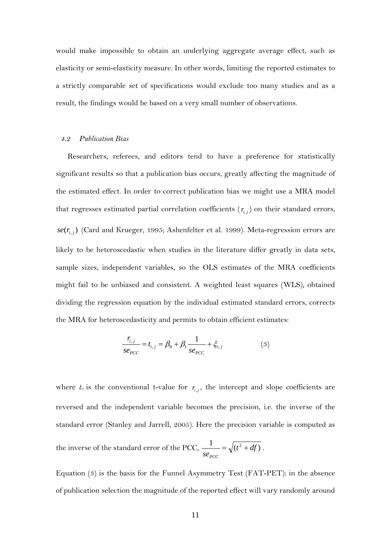would make impossible to obtain an underlying aggregate average effect, such as elasticity or semi-elasticity measure. In other words, limiting the reported estimates to a strictly comparable set of specifications would exclude too many studies and as a result, the findings would be based on a very small number of observations.

#### *4.2 Publication Bias*

Researchers, referees, and editors tend to have a preference for statistically significant results so that a publication bias occurs, greatly affecting the magnitude of the estimated effect. In order to correct publication bias we might use a MRA model that regresses estimated partial correlation coefficients  $(r_{i,j})$  on their standard errors,  $se(r_{i,j})$  (Card and Krueger, 1995; Ashenfelter et al. 1999). Meta-regression errors are likely to be heteroscedastic when studies in the literature differ greatly in data sets, sample sizes, independent variables, so the OLS estimates of the MRA coefficients might fail to be unbiased and consistent. A weighted least squares (WLS), obtained dividing the regression equation by the individual estimated standard errors, corrects the MRA for heteroscedasticity and permits to obtain efficient estimates:

$$
\frac{r_{i,j}}{se_{PCC}} = t_{i,j} = \beta_0 + \beta_1 \frac{1}{se_{PCC}} + \xi_{i,j}
$$
 (3)

where  $t_{ij}$  is the conventional t-value for  $r_{i,j}$ , the intercept and slope coefficients are reversed and the independent variable becomes the precision, i.e. the inverse of the standard error (Stanley and Jarrell, 2005). Here the precision variable is computed as the inverse of the standard error of the PCC,  $\frac{1}{(t^2+df)}$ *se<sub>PCC</sub>*  $=\sqrt{(t^2+df)}$ .

Equation (3) is the basis for the Funnel Asymmetry Test (FAT-PET): in the absence of publication selection the magnitude of the reported effect will vary randomly around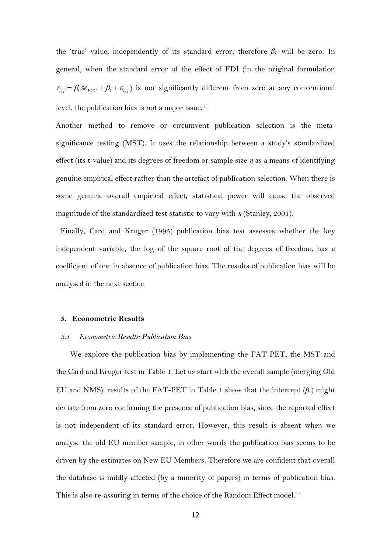the 'true' value, independently of its standard error, therefore  $β$ <sub>0</sub> will be zero. In general, when the standard error of the effect of FDI (in the original formulation  $r_{i,j} = \beta_0 s e_{pCC} + \beta_1 + \varepsilon_{i,j}$  is not significantly different from zero at any conventional level, the publication bias is not a major issue.[14](#page-30-2)

Another method to remove or circumvent publication selection is the metasignificance testing (MST). It uses the relationship between a study's standardized effect (its t-value) and its degrees of freedom or sample size *n* as a means of identifying genuine empirical effect rather than the artefact of publication selection. When there is some genuine overall empirical effect, statistical power will cause the observed magnitude of the standardized test statistic to vary with *n* (Stanley, 2001).

Finally, Card and Kruger (1995) publication bias test assesses whether the key independent variable, the log of the square root of the degrees of freedom, has a coefficient of one in absence of publication bias. The results of publication bias will be analysed in the next section

#### **5. Econometric Results**

#### *5.1 Econometric Results: Publication Bias*

We explore the publication bias by implementing the FAT-PET, the MST and the Card and Kruger test in Table 1. Let us start with the overall sample (merging Old EU and NMS): results of the FAT-PET in Table 1 show that the intercept  $(\beta_0)$  might deviate from zero confirming the presence of publication bias, since the reported effect is not independent of its standard error. However, this result is absent when we analyse the old EU member sample, in other words the publication bias seems to be driven by the estimates on New EU Members. Therefore we are confident that overall the database is mildly affected (by a minority of papers) in terms of publication bias. This is also re-assuring in terms of the choice of the Random Effect model.<sup>[15](#page-30-3)</sup>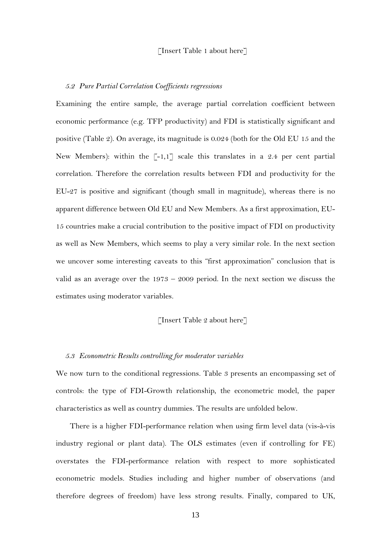#### [Insert Table 1 about here]

#### *5.2 Pure Partial Correlation Coefficients regressions*

Examining the entire sample, the average partial correlation coefficient between economic performance (e.g. TFP productivity) and FDI is statistically significant and positive (Table 2). On average, its magnitude is 0.024 (both for the Old EU 15 and the New Members): within the  $\lceil -1, 1 \rceil$  scale this translates in a 2.4 per cent partial correlation. Therefore the correlation results between FDI and productivity for the EU-27 is positive and significant (though small in magnitude), whereas there is no apparent difference between Old EU and New Members. As a first approximation, EU-15 countries make a crucial contribution to the positive impact of FDI on productivity as well as New Members, which seems to play a very similar role. In the next section we uncover some interesting caveats to this "first approximation" conclusion that is valid as an average over the  $1973 - 2009$  period. In the next section we discuss the estimates using moderator variables.

#### [Insert Table 2 about here]

#### *5.3 Econometric Results controlling for moderator variables*

We now turn to the conditional regressions. Table 3 presents an encompassing set of controls: the type of FDI-Growth relationship, the econometric model, the paper characteristics as well as country dummies. The results are unfolded below.

There is a higher FDI-performance relation when using firm level data (vis-à-vis industry regional or plant data). The OLS estimates (even if controlling for FE) overstates the FDI-performance relation with respect to more sophisticated econometric models. Studies including and higher number of observations (and therefore degrees of freedom) have less strong results. Finally, compared to UK,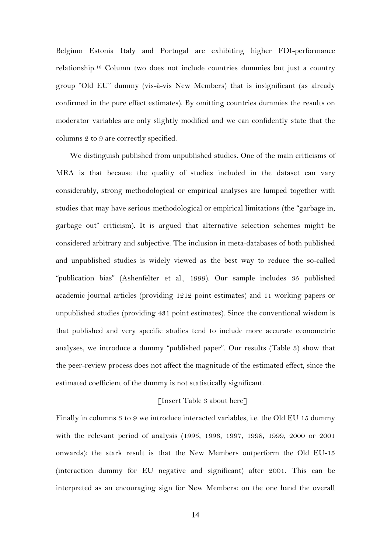Belgium Estonia Italy and Portugal are exhibiting higher FDI-performance relationship.[16](#page-30-4) Column two does not include countries dummies but just a country group "Old EU" dummy (vis-à-vis New Members) that is insignificant (as already confirmed in the pure effect estimates). By omitting countries dummies the results on moderator variables are only slightly modified and we can confidently state that the columns 2 to 9 are correctly specified.

We distinguish published from unpublished studies. One of the main criticisms of MRA is that because the quality of studies included in the dataset can vary considerably, strong methodological or empirical analyses are lumped together with studies that may have serious methodological or empirical limitations (the "garbage in, garbage out" criticism). It is argued that alternative selection schemes might be considered arbitrary and subjective. The inclusion in meta-databases of both published and unpublished studies is widely viewed as the best way to reduce the so-called "publication bias" (Ashenfelter et al., 1999). Our sample includes 35 published academic journal articles (providing 1212 point estimates) and 11 working papers or unpublished studies (providing 431 point estimates). Since the conventional wisdom is that published and very specific studies tend to include more accurate econometric analyses, we introduce a dummy "published paper". Our results (Table 3) show that the peer-review process does not affect the magnitude of the estimated effect, since the estimated coefficient of the dummy is not statistically significant.

#### [Insert Table 3 about here]

Finally in columns 3 to 9 we introduce interacted variables, i.e. the Old EU 15 dummy with the relevant period of analysis (1995, 1996, 1997, 1998, 1999, 2000 or 2001 onwards): the stark result is that the New Members outperform the Old EU-15 (interaction dummy for EU negative and significant) after 2001. This can be interpreted as an encouraging sign for New Members: on the one hand the overall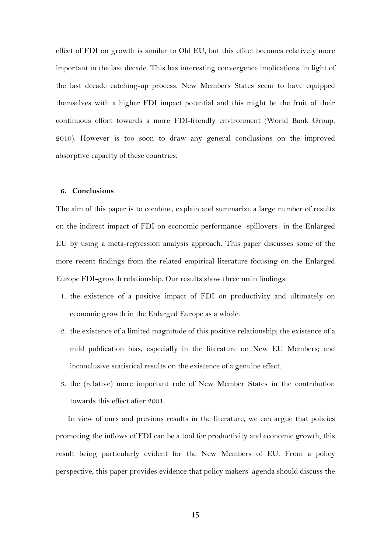effect of FDI on growth is similar to Old EU, but this effect becomes relatively more important in the last decade. This has interesting convergence implications: in light of the last decade catching-up process, New Members States seem to have equipped themselves with a higher FDI impact potential and this might be the fruit of their continuous effort towards a more FDI-friendly environment (World Bank Group, 2010). However is too soon to draw any general conclusions on the improved absorptive capacity of these countries.

#### **6. Conclusions**

The aim of this paper is to combine, explain and summarize a large number of results on the indirect impact of FDI on economic performance -spillovers- in the Enlarged EU by using a meta-regression analysis approach. This paper discusses some of the more recent findings from the related empirical literature focusing on the Enlarged Europe FDI-growth relationship. Our results show three main findings:

- 1. the existence of a positive impact of FDI on productivity and ultimately on economic growth in the Enlarged Europe as a whole.
- 2. the existence of a limited magnitude of this positive relationship; the existence of a mild publication bias, especially in the literature on New EU Members; and inconclusive statistical results on the existence of a genuine effect.
- 3. the (relative) more important role of New Member States in the contribution towards this effect after 2001.

In view of ours and previous results in the literature, we can argue that policies promoting the inflows of FDI can be a tool for productivity and economic growth, this result being particularly evident for the New Members of EU. From a policy perspective, this paper provides evidence that policy makers' agenda should discuss the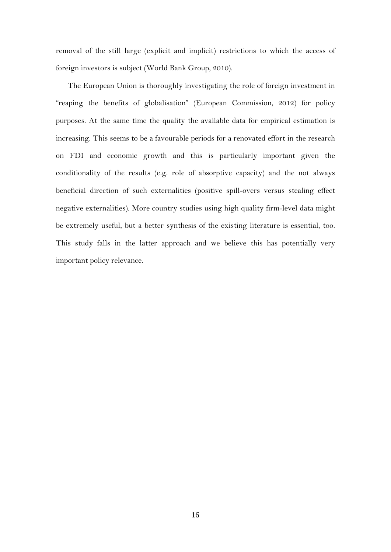removal of the still large (explicit and implicit) restrictions to which the access of foreign investors is subject (World Bank Group, 2010).

The European Union is thoroughly investigating the role of foreign investment in "reaping the benefits of globalisation" (European Commission, 2012) for policy purposes. At the same time the quality the available data for empirical estimation is increasing. This seems to be a favourable periods for a renovated effort in the research on FDI and economic growth and this is particularly important given the conditionality of the results (e.g. role of absorptive capacity) and the not always beneficial direction of such externalities (positive spill-overs versus stealing effect negative externalities). More country studies using high quality firm-level data might be extremely useful, but a better synthesis of the existing literature is essential, too. This study falls in the latter approach and we believe this has potentially very important policy relevance.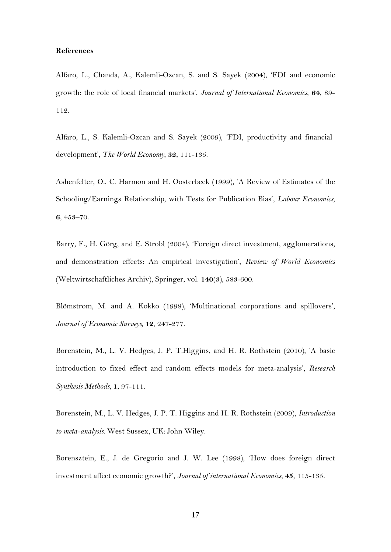#### **References**

Alfaro, L., Chanda, A., Kalemli-Ozcan, S. and S. Sayek (2004), 'FDI and economic growth: the role of local financial markets', *Journal of International Economics*, **64**, 89- 112.

Alfaro, L., S. Kalemli-Ozcan and S. Sayek (2009), 'FDI, productivity and financial development', *The World Economy*, **32**, 111-135.

Ashenfelter, O., C. Harmon and H. Oosterbeek (1999), 'A Review of Estimates of the Schooling/Earnings Relationship, with Tests for Publication Bias', *Labour Economics*, **6**, 453–70.

Barry, F., H. Görg, and E. Strobl (2004), 'Foreign direct investment, agglomerations, and demonstration effects: An empirical investigation', *Review of World Economics* (Weltwirtschaftliches Archiv), Springer, vol. **140**(3), 583-600.

Blömstrom, M. and A. Kokko (1998), 'Multinational corporations and spillovers', *Journal of Economic Surveys,* **12**, 247-277.

Borenstein, M., L. V. Hedges, J. P. T.Higgins, and H. R. Rothstein (2010), 'A basic introduction to fixed effect and random effects models for meta-analysis', *Research Synthesis Methods*, **1**, 97-111.

Borenstein, M., L. V. Hedges, J. P. T. Higgins and H. R. Rothstein (2009), *Introduction to meta-analysis*. West Sussex, UK: John Wiley.

Borensztein, E., J. de Gregorio and J. W. Lee (1998), 'How does foreign direct investment affect economic growth?', *Journal of international Economics*, **45**, 115-135.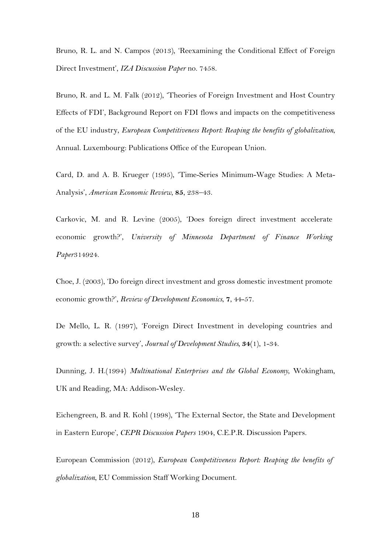Bruno, R. L. and N. Campos (2013), 'Reexamining the Conditional Effect of Foreign Direct Investment', *IZA [Discussion Paper](https://iris.ucl.ac.uk/iris/publication/445858/1)* no. 7458.

Bruno, R. and L. M. Falk (2012), ['Theories of Foreign Investment and Host Country](https://iris.ucl.ac.uk/iris/publication/445824/1)  [Effects of FDI', Background Report on FDI flows and impacts on the competitiveness](https://iris.ucl.ac.uk/iris/publication/445824/1)  [of the EU industry,](https://iris.ucl.ac.uk/iris/publication/445824/1) *European Competitiveness Report: Reaping the benefits of globalization*, Annual. Luxembourg: Publications Office of the European Union.

Card, D. and A. B. Krueger (1995), 'Time-Series Minimum-Wage Studies: A Meta-Analysis', *American Economic Review*, **85**, 238–43.

Carkovic, M. and R. Levine (2005), 'Does foreign direct investment accelerate economic growth?', *University of Minnesota Department of Finance Working Paper*314924.

Choe, J. (2003), 'Do foreign direct investment and gross domestic investment promote economic growth?', *Review of Development Economics*, **7**, 44-57.

De Mello, L. R. (1997), 'Foreign Direct Investment in developing countries and growth: a selective survey', *Journal of Development Studies,* **34**(1), 1-34.

Dunning, J. H.(1994) *Multinational Enterprises and the Global Economy*, Wokingham, UK and Reading, MA: Addison-Wesley.

Eichengreen, B. and R. Kohl (1998), 'The External Sector, the State and Development in Eastern Europe', *CEPR Discussion Papers* 1904, C.E.P.R. Discussion Papers.

European Commission (2012), *European Competitiveness Report: Reaping the benefits of globalization*, EU Commission Staff Working Document.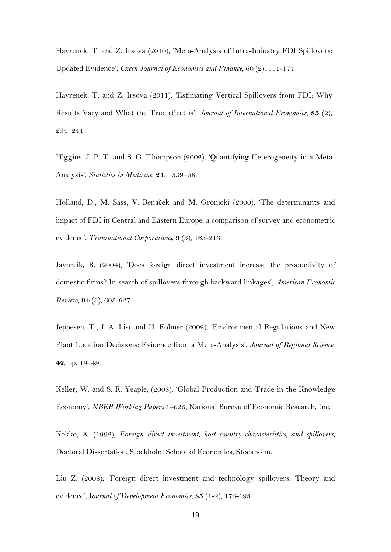Havrenek, T. and Z. Irsova (2010), 'Meta-Analysis of Intra-Industry FDI Spillovers: Updated Evidence', *Czech Journal of Economics and Finance*, 60 (2), 151-174

Havrenek, T. and Z. Irsova (2011), 'Estimating Vertical Spillovers from FDI: Why Results Vary and What the True effect is', *Journal of International Economics*, **85** (2), 234–244

Higgins, J. P. T. and S. G. Thompson (2002), 'Quantifying Heterogeneity in a Meta-Analysis', *Statistics in Medicine*, **21**, 1539–58.

Holland, D., M. Sass, V. Benaček and M. Gronicki (2000), 'The determinants and impact of FDI in Central and Eastern Europe: a comparison of survey and econometric evidence', *Transnational Corporations*, **9** (3), 163-213.

Javorcik, B. (2004), 'Does foreign direct investment increase the productivity of domestic firms? In search of spillovers through backward linkages', *American Economic Review*, **94** (3), 605-627.

Jeppesen, T., J. A. List and H. Folmer (2002), 'Environmental Regulations and New Plant Location Decisions: Evidence from a Meta-Analysis', *Journal of Regional Science*, **42**, pp. 19–49.

Keller, W. and S. R. Yeaple, (2008), 'Global Production and Trade in the Knowledge Economy', *NBER Working Papers* 14626, National Bureau of Economic Research, Inc.

Kokko, A. (1992), *Foreign direct investment, host country characteristics, and spillovers*, Doctoral Dissertation, Stockholm School of Economics, Stockholm.

Liu Z. (2008), 'Foreign direct investment and technology spillovers: Theory and evidence', J*ournal of Development Economics*, **85** (1-2), 176-193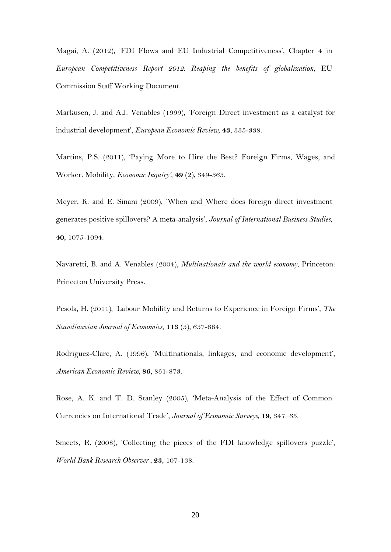Magai, A. (2012), 'FDI Flows and EU Industrial Competitiveness', Chapter 4 in *European Competitiveness Report 2012: Reaping the benefits of globalization*, EU Commission Staff Working Document.

Markusen, J. and A.J. Venables (1999), 'Foreign Direct investment as a catalyst for industrial development', *European Economic Review*, **43**, 335-338.

Martins, P.S. (2011), 'Paying More to Hire the Best? Foreign Firms, Wages, and Worker. Mobility, *Economic Inquiry'*, **49** (2), 349-363.

Meyer, K. and E. Sinani (2009), 'When and Where does foreign direct investment generates positive spillovers? A meta-analysis', *Journal of International Business Studies*, **40**, 1075-1094.

Navaretti, B. and A. Venables (2004), *Multinationals and the world economy*, Princeton: Princeton University Press.

Pesola, H. (2011), 'Labour Mobility and Returns to Experience in Foreign Firms', *The Scandinavian Journal of Economics*, **113** (3), 637-664.

Rodriguez-Clare, A. (1996), 'Multinationals, linkages, and economic development', *American Economic Review*, **86**, 851-873.

Rose, A. K. and T. D. Stanley (2005), 'Meta-Analysis of the Effect of Common Currencies on International Trade', *Journal of Economic Surveys*, **19**, 347–65.

Smeets, R. (2008), 'Collecting the pieces of the FDI knowledge spillovers puzzle', *World Bank Research Observer ,* **23**, 107-138.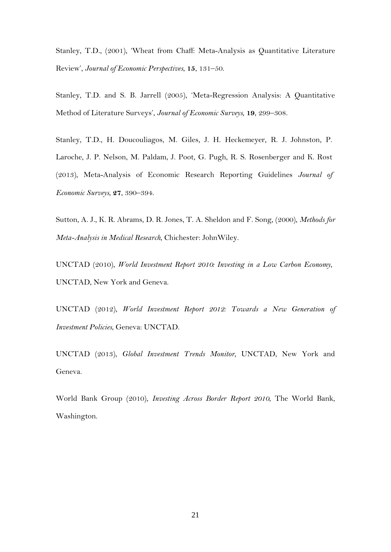Stanley, T.D., (2001), 'Wheat from Chaff: Meta-Analysis as Quantitative Literature Review', *Journal of Economic Perspectives*, **15**, 131–50.

Stanley, T.D. and S. B. Jarrell (2005), 'Meta-Regression Analysis: A Quantitative Method of Literature Surveys', *Journal of Economic Surveys*, **19**, 299–308.

Stanley, T.D., H. Doucouliagos, M. Giles, J. H. Heckemeyer, R. J. Johnston, P. Laroche, J. P. Nelson, M. Paldam, J. Poot, G. Pugh, R. S. Rosenberger and K. Rost (2013), Meta-Analysis of Economic Research Reporting Guidelines *Journal of Economic Surveys*, **27**, 390–394.

Sutton, A. J., K. R. Abrams, D. R. Jones, T. A. Sheldon and F. Song, (2000), *Methods for Meta-Analysis in Medical Research*, Chichester: JohnWiley.

UNCTAD (2010), *World Investment Report 2010: Investing in a Low Carbon Economy*, UNCTAD, New York and Geneva.

UNCTAD (2012), *World Investment Report 2012: Towards a New Generation of Investment Policies*, Geneva: UNCTAD.

UNCTAD (2013), *Global Investment Trends Monitor*, UNCTAD, New York and Geneva.

World Bank Group (2010), *Investing Across Border Report 2010*, The World Bank, Washington.

21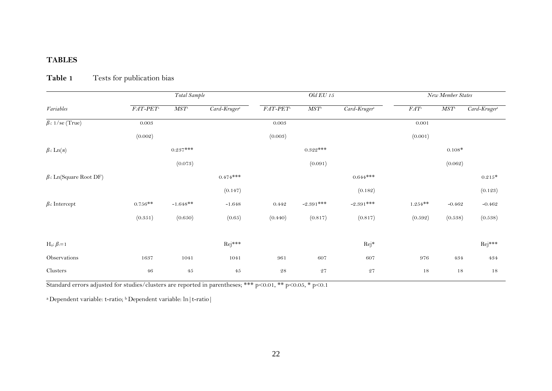### **TABLES**

|                              | Total Sample |             |                          |                     | <b>Old EU 15</b> |                            |               | New Member States |                          |  |
|------------------------------|--------------|-------------|--------------------------|---------------------|------------------|----------------------------|---------------|-------------------|--------------------------|--|
| Variables                    | $FAT-PET$    | $MST^\circ$ | $\overline{Card-Kruger}$ | $FAT-PET$           | $MST^\circ$      | $\overline{Card-Kruger}^*$ | $FAT^{\iota}$ | $MST^\circ$       | Card-Kruger <sup>b</sup> |  |
| $\beta$ : 1/se (True)        | 0.003        |             |                          | 0.003               |                  |                            | 0.001         |                   |                          |  |
|                              | (0.002)      |             |                          | (0.003)             |                  |                            | (0.001)       |                   |                          |  |
| $\beta$ : Ln(n)              |              | $0.237***$  |                          |                     | $0.322***$       |                            |               | $0.108*$          |                          |  |
|                              |              | (0.073)     |                          |                     | (0.091)          |                            |               | (0.062)           |                          |  |
| $\beta$ : Ln(Square Root DF) |              |             | $0.474***$               |                     |                  | $0.644***$                 |               |                   | $0.215*$                 |  |
|                              |              |             | (0.147)                  |                     |                  | (0.182)                    |               |                   | (0.123)                  |  |
| $\beta$ . Intercept          | $0.756**$    | $-1.648**$  | $-1.648$                 | 0.442               | $-2.391***$      | $-2.391***$                | $1.254**$     | $-0.462$          | $-0.462$                 |  |
|                              | (0.351)      | (0.650)     | (0.65)                   | (0.440)             | (0.817)          | (0.817)                    | (0.592)       | (0.538)           | (0.538)                  |  |
|                              |              |             |                          |                     |                  |                            |               |                   |                          |  |
| $H_0: \beta = 1$             |              |             | $Rej***$                 |                     |                  | Rej*                       |               |                   | $Rej***$                 |  |
| Observations                 | 1637         | 1041        | 1041                     | 961                 | 607              | 607                        | 976           | 434               | $\rm 434$                |  |
| Clusters                     | $\sqrt{46}$  | $45\,$      | $45\,$                   | $\sqrt{2} \sqrt{8}$ | $\sqrt{27}$      | $\sqrt{27}$                | 18            | $18\,$            | $18\,$                   |  |

# **Table 1** Tests for publication bias

Standard errors adjusted for studies/clusters are reported in parentheses; \*\*\* p<0.01, \*\* p<0.05, \* p<0.1

<sup>a</sup> Dependent variable: t-ratio; <sup>b</sup> Dependent variable: ln | t-ratio |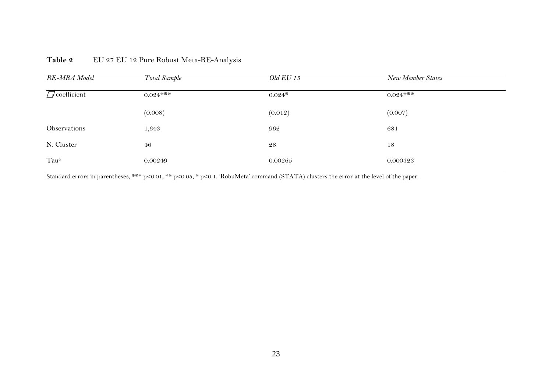| RE-MRA Model           | Total Sample | <i>Old EU 15</i> | New Member States |  |
|------------------------|--------------|------------------|-------------------|--|
| $\sqrt{q}$ coefficient | $0.024***$   | $0.024*$         | $0.024***$        |  |
|                        | (0.008)      | (0.012)          | (0.007)           |  |
| Observations           | 1,643        | 962              | 681               |  |
| N. Cluster             | 46           | 28               | 18                |  |
| Tau <sup>2</sup>       | 0.00249      | 0.00265          | 0.000323          |  |

### Table 2 EU 27 EU 12 Pure Robust Meta-RE-Analysis

Standard errors in parentheses, \*\*\* p<0.01, \*\* p<0.05, \* p<0.1. 'RobuMeta' command (STATA) clusters the error at the level of the paper.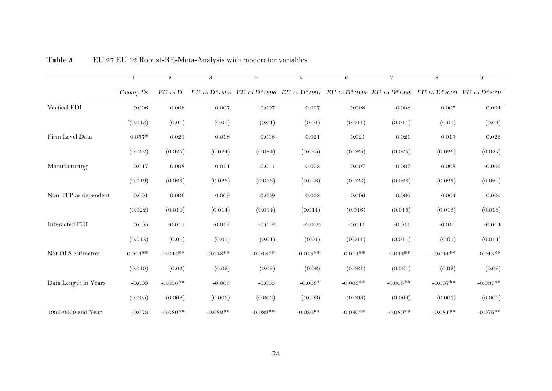|                      | 1          | $\mathfrak{D}$ | 3                            | $\overline{4}$ | $\mathfrak{H}$               | 6                            | $\overline{7}$ | 8            | 9               |
|----------------------|------------|----------------|------------------------------|----------------|------------------------------|------------------------------|----------------|--------------|-----------------|
|                      | Country Ds | $EU$ 15 $D$    | $\overline{EU}$ 15 $D*$ 1995 | EU 15 D*1996   | $\overline{EU}$ 15 $D*$ 1997 | $\overline{EU}$ 15 $D*$ 1998 | EU 15 D*1999   | EU 15 D*2000 | $E U 15 D*2001$ |
| Vertical FDI         | 0.006      | 0.008          | 0.007                        | 0.007          | 0.007                        | 0.008                        | 0.008          | 0.007        | 0.004           |
|                      | '(0.013)   | (0.01)         | (0.01)                       | (0.01)         | (0.01)                       | (0.011)                      | (0.011)        | (0.01)       | (0.01)          |
| Firm Level Data      | $0.057*$   | 0.021          | 0.018                        | 0.018          | 0.021                        | 0.021                        | 0.021          | 0.019        | 0.023           |
|                      | (0.032)    | (0.025)        | (0.024)                      | (0.024)        | (0.025)                      | (0.025)                      | (0.025)        | (0.026)      | (0.027)         |
| Manufacturing        | 0.017      | 0.008          | 0.011                        | 0.011          | 0.008                        | 0.007                        | 0.007          | 0.008        | $-0.005$        |
|                      | (0.019)    | (0.023)        | (0.023)                      | (0.023)        | (0.023)                      | (0.023)                      | (0.023)        | (0.023)      | (0.022)         |
| Non TFP as dependent | 0.001      | 0.006          | 0.009                        | 0.009          | 0.008                        | 0.006                        | 0.006          | 0.003        | 0.005           |
|                      | (0.022)    | (0.014)        | (0.014)                      | (0.014)        | (0.014)                      | (0.016)                      | (0.016)        | (0.015)      | (0.013)         |
| Interacted FDI       | 0.005      | $-0.011$       | $-0.012$                     | $-0.012$       | $-0.012$                     | $-0.011$                     | $-0.011$       | $-0.011$     | $-0.014$        |
|                      | (0.018)    | (0.01)         | (0.01)                       | (0.01)         | (0.01)                       | (0.011)                      | (0.011)        | (0.01)       | (0.011)         |
| Not OLS estimator    | $-0.044**$ | $-0.044**$     | $-0.048**$                   | $-0.048**$     | $-0.046**$                   | $-0.044**$                   | $-0.044**$     | $-0.044**$   | $-0.045**$      |
|                      | (0.019)    | (0.02)         | (0.02)                       | (0.02)         | (0.02)                       | (0.021)                      | (0.021)        | (0.02)       | (0.02)          |
| Data Length in Years | $-0.003$   | $-0.006**$     | $-0.005$                     | $-0.005$       | $-0.006*$                    | $-0.006**$                   | $-0.006**$     | $-0.007**$   | $-0.007**$      |
|                      | (0.005)    | (0.002)        | (0.003)                      | (0.003)        | (0.003)                      | (0.003)                      | (0.003)        | (0.003)      | (0.003)         |
| 1995-2000 end Year   | $-0.073$   | $-0.080**$     | $-0.082**$                   | $-0.082**$     | $-0.080**$                   | $-0.080**$                   | $-0.080**$     | $-0.081**$   | $-0.076**$      |

**Table 3** EU 27 EU 12 Robust-RE-Meta-Analysis with moderator variables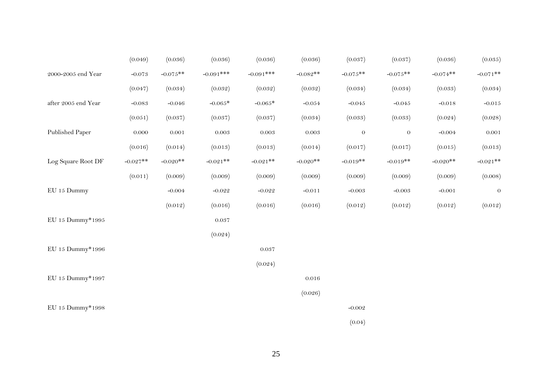|                     | (0.049)    | (0.036)    | (0.036)      | (0.036)     | (0.036)    | (0.037)    | (0.037)    | (0.036)    | (0.035)     |
|---------------------|------------|------------|--------------|-------------|------------|------------|------------|------------|-------------|
| 2000-2005 end Year  | $-0.073$   | $-0.075**$ | $-0.091$ *** | $-0.091***$ | $-0.082**$ | $-0.075**$ | $-0.075**$ | $-0.074**$ | $-0.071$ ** |
|                     | (0.047)    | (0.034)    | (0.032)      | (0.032)     | (0.032)    | (0.034)    | (0.034)    | (0.033)    | (0.034)     |
| after 2005 end Year | $-0.083$   | $-0.046$   | $-0.065*$    | $-0.065*$   | $-0.054$   | $-0.045$   | $-0.045$   | $-0.018$   | $-0.015$    |
|                     | (0.051)    | (0.037)    | (0.037)      | (0.037)     | (0.034)    | (0.033)    | (0.033)    | (0.024)    | (0.028)     |
| Published Paper     | $0.000\,$  | $0.001\,$  | $0.003\,$    | $0.003\,$   | $0.003\,$  | $\theta$   | $\theta$   | $-0.004$   | 0.001       |
|                     | (0.016)    | (0.014)    | (0.013)      | (0.013)     | (0.014)    | (0.017)    | (0.017)    | (0.015)    | (0.013)     |
| Log Square Root DF  | $-0.027**$ | $-0.020**$ | $-0.021**$   | $-0.021**$  | $-0.020**$ | $-0.019**$ | $-0.019**$ | $-0.020**$ | $-0.021$ ** |
|                     | (0.011)    | (0.009)    | (0.009)      | (0.009)     | (0.009)    | (0.009)    | (0.009)    | (0.009)    | (0.008)     |
| EU 15 Dummy         |            | $-0.004$   | $-0.022$     | $-0.022$    | $-0.011$   | $-0.003$   | $-0.003$   | $-0.001$   | $\theta$    |
|                     |            | (0.012)    | (0.016)      | (0.016)     | (0.016)    | (0.012)    | (0.012)    | (0.012)    | (0.012)     |
| EU 15 Dummy*1995    |            |            | $0.037\,$    |             |            |            |            |            |             |
|                     |            |            | (0.024)      |             |            |            |            |            |             |
| EU 15 Dummy*1996    |            |            |              | 0.037       |            |            |            |            |             |
|                     |            |            |              | (0.024)     |            |            |            |            |             |
| EU 15 Dummy*1997    |            |            |              |             | 0.016      |            |            |            |             |
|                     |            |            |              |             | (0.026)    |            |            |            |             |
| EU 15 Dummy*1998    |            |            |              |             |            | $-0.002$   |            |            |             |
|                     |            |            |              |             |            | (0.04)     |            |            |             |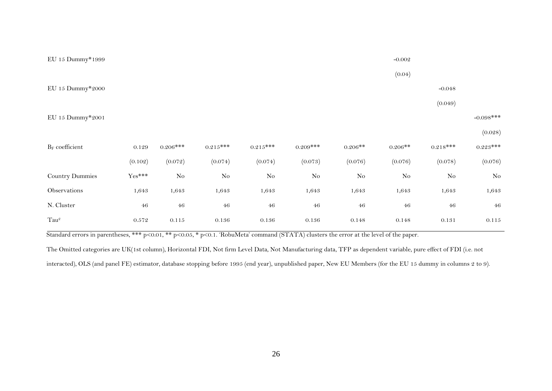| EU 15 Dummy*1999       |           |            |            |            |             |           | $-0.002$  |            |             |
|------------------------|-----------|------------|------------|------------|-------------|-----------|-----------|------------|-------------|
|                        |           |            |            |            |             |           | (0.04)    |            |             |
| EU 15 Dummy*2000       |           |            |            |            |             |           |           | $-0.048$   |             |
|                        |           |            |            |            |             |           |           | (0.049)    |             |
| EU 15 Dummy*2001       |           |            |            |            |             |           |           |            | $-0.098***$ |
|                        |           |            |            |            |             |           |           |            | (0.028)     |
| $B_F$ coefficient      | 0.129     | $0.206***$ | $0.215***$ | $0.215***$ | $0.209$ *** | $0.206**$ | $0.206**$ | $0.218***$ | $0.223***$  |
|                        | (0.102)   | (0.072)    | (0.074)    | (0.074)    | (0.073)     | (0.076)   | (0.076)   | (0.078)    | (0.076)     |
| <b>Country Dummies</b> | $Yes***$  | $\rm No$   | $\rm No$   | $\rm No$   | $\rm No$    | $\rm No$  | $\rm No$  | $\rm No$   | $\rm No$    |
| Observations           | 1,643     | 1,643      | 1,643      | 1,643      | 1,643       | 1,643     | 1,643     | 1,643      | 1,643       |
| N. Cluster             | $\bf 46$  | $\bf 46$   | $46\,$     | $\bf 46$   | $\bf 46$    | $46\,$    | $46\,$    | $46\,$     | 46          |
| $Tau^2$                | $0.572\,$ | $0.115\,$  | $0.136\,$  | $0.136\,$  | $0.136\,$   | $0.148\,$ | 0.148     | $0.131\,$  | $0.115\,$   |

Standard errors in parentheses, \*\*\* p<0.01, \*\* p<0.05, \* p<0.1. 'RobuMeta' command (STATA) clusters the error at the level of the paper.

The Omitted categories are UK(1st column), Horizontal FDI, Not firm Level Data, Not Manufacturing data, TFP as dependent variable, pure effect of FDI (i.e. not interacted), OLS (and panel FE) estimator, database stopping before 1995 (end year), unpublished paper, New EU Members (for the EU 15 dummy in columns 2 to 9).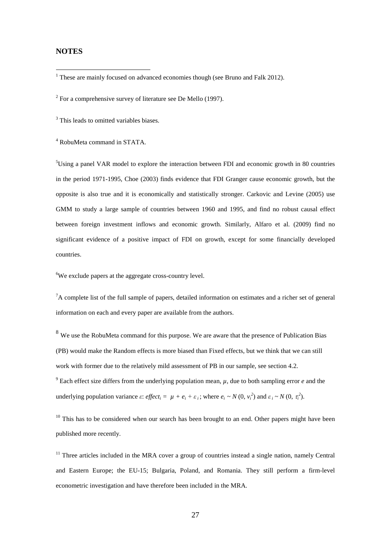#### **NOTES**

<span id="page-29-1"></span><sup>2</sup> For a comprehensive survey of literature see De Mello (1997).

<span id="page-29-2"></span><sup>3</sup> This leads to omitted variables biases.

<span id="page-29-3"></span><sup>4</sup> RobuMeta command in STATA.

<span id="page-29-4"></span><sup>5</sup>Using a panel VAR model to explore the interaction between FDI and economic growth in 80 countries in the period 1971-1995, Choe (2003) finds evidence that FDI Granger cause economic growth, but the opposite is also true and it is economically and statistically stronger. Carkovic and Levine (2005) use GMM to study a large sample of countries between 1960 and 1995, and find no robust causal effect between foreign investment inflows and economic growth. Similarly, Alfaro et al. (2009) find no significant evidence of a positive impact of FDI on growth, except for some financially developed countries.

<span id="page-29-5"></span><sup>6</sup>We exclude papers at the aggregate cross-country level.

<span id="page-29-6"></span><sup>7</sup>A complete list of the full sample of papers, detailed information on estimates and a richer set of general information on each and every paper are available from the authors.

<span id="page-29-7"></span><sup>8</sup> We use the RobuMeta command for this purpose. We are aware that the presence of Publication Bias (PB) would make the Random effects is more biased than Fixed effects, but we think that we can still work with former due to the relatively mild assessment of PB in our sample, see section 4.2.

<span id="page-29-8"></span><sup>9</sup> Each effect size differs from the underlying population mean,  $\mu$ , due to both sampling error *e* and the underlying population variance *ε*: *effect<sub>i</sub>* =  $\mu + e_i + \varepsilon_i$ ; where  $e_i \sim N(0, v_i^2)$  and  $\varepsilon_i \sim N(0, \tau_i^2)$ .

<span id="page-29-9"></span> $10$  This has to be considered when our search has been brought to an end. Other papers might have been published more recently.

<span id="page-29-10"></span> $11$  Three articles included in the MRA cover a group of countries instead a single nation, namely Central and Eastern Europe; the EU-15; Bulgaria, Poland, and Romania. They still perform a firm-level econometric investigation and have therefore been included in the MRA.

<span id="page-29-0"></span> $1$  These are mainly focused on advanced economies though (see Bruno and Falk 2012).